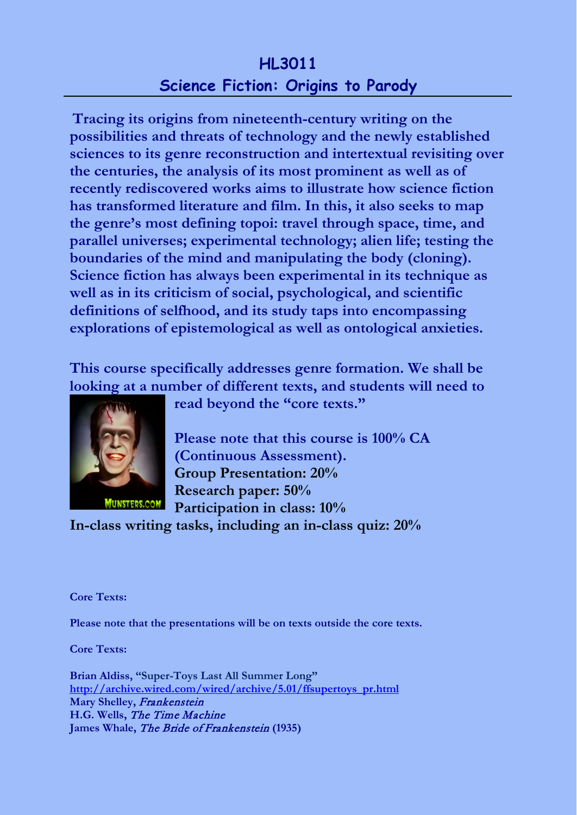## **HL3011 Science Fiction: Origins to Parody**

**Tracing its origins from nineteenth-century writing on the possibilities and threats of technology and the newly established sciences to its genre reconstruction and intertextual revisiting over the centuries, the analysis of its most prominent as well as of recently rediscovered works aims to illustrate how science fiction has transformed literature and film. In this, it also seeks to map the genre's most defining topoi: travel through space, time, and parallel universes; experimental technology; alien life; testing the boundaries of the mind and manipulating the body (cloning). Science fiction has always been experimental in its technique as well as in its criticism of social, psychological, and scientific definitions of selfhood, and its study taps into encompassing explorations of epistemological as well as ontological anxieties.**

**This course specifically addresses genre formation. We shall be looking at a number of different texts, and students will need to** 



**read beyond the "core texts."**

**Please note that this course is 100% CA (Continuous Assessment). Group Presentation: 20% Research paper: 50% Participation in class: 10%**

**In-class writing tasks, including an in-class quiz: 20%**

**Core Texts:**

**Please note that the presentations will be on texts outside the core texts.**

**Core Texts:**

**Brian Aldiss, "Super-Toys Last All Summer Long" [http://archive.wired.com/wired/archive/5.01/ffsupertoys\\_pr.html](http://archive.wired.com/wired/archive/5.01/ffsupertoys_pr.html) Mary Shelley,** Frankenstein **H.G. Wells,** The Time Machine **James Whale,** The Bride of Frankenstein **(1935)**